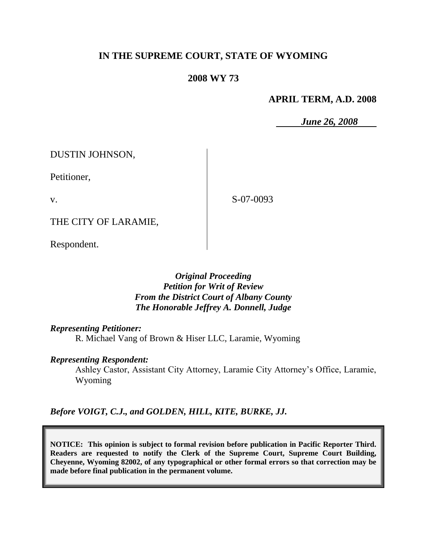# **IN THE SUPREME COURT, STATE OF WYOMING**

## **2008 WY 73**

## **APRIL TERM, A.D. 2008**

*June 26, 2008*

DUSTIN JOHNSON,

Petitioner,

v.

S-07-0093

THE CITY OF LARAMIE,

Respondent.

*Original Proceeding Petition for Writ of Review From the District Court of Albany County The Honorable Jeffrey A. Donnell, Judge* 

### *Representing Petitioner:*

R. Michael Vang of Brown & Hiser LLC, Laramie, Wyoming

### *Representing Respondent:*

Ashley Castor, Assistant City Attorney, Laramie City Attorney"s Office, Laramie, Wyoming

*Before VOIGT, C.J., and GOLDEN, HILL, KITE, BURKE, JJ.*

**NOTICE: This opinion is subject to formal revision before publication in Pacific Reporter Third. Readers are requested to notify the Clerk of the Supreme Court, Supreme Court Building, Cheyenne, Wyoming 82002, of any typographical or other formal errors so that correction may be made before final publication in the permanent volume.**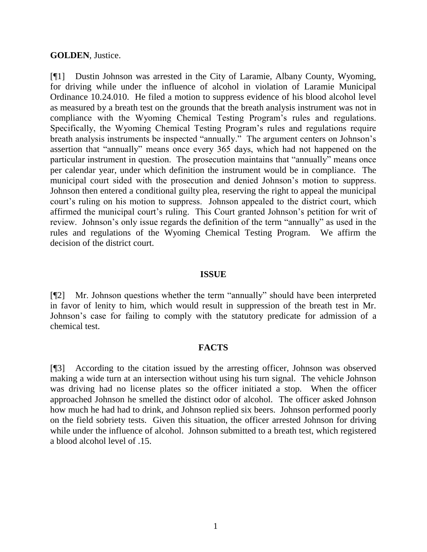#### **GOLDEN**, Justice.

[¶1] Dustin Johnson was arrested in the City of Laramie, Albany County, Wyoming, for driving while under the influence of alcohol in violation of Laramie Municipal Ordinance 10.24.010. He filed a motion to suppress evidence of his blood alcohol level as measured by a breath test on the grounds that the breath analysis instrument was not in compliance with the Wyoming Chemical Testing Program"s rules and regulations. Specifically, the Wyoming Chemical Testing Program"s rules and regulations require breath analysis instruments be inspected "annually." The argument centers on Johnson"s assertion that "annually" means once every 365 days, which had not happened on the particular instrument in question. The prosecution maintains that "annually" means once per calendar year, under which definition the instrument would be in compliance. The municipal court sided with the prosecution and denied Johnson"s motion to suppress. Johnson then entered a conditional guilty plea, reserving the right to appeal the municipal court's ruling on his motion to suppress. Johnson appealed to the district court, which affirmed the municipal court's ruling. This Court granted Johnson's petition for writ of review. Johnson's only issue regards the definition of the term "annually" as used in the rules and regulations of the Wyoming Chemical Testing Program. We affirm the decision of the district court.

#### **ISSUE**

[¶2] Mr. Johnson questions whether the term "annually" should have been interpreted in favor of lenity to him, which would result in suppression of the breath test in Mr. Johnson"s case for failing to comply with the statutory predicate for admission of a chemical test.

### **FACTS**

[¶3] According to the citation issued by the arresting officer, Johnson was observed making a wide turn at an intersection without using his turn signal. The vehicle Johnson was driving had no license plates so the officer initiated a stop. When the officer approached Johnson he smelled the distinct odor of alcohol. The officer asked Johnson how much he had had to drink, and Johnson replied six beers. Johnson performed poorly on the field sobriety tests. Given this situation, the officer arrested Johnson for driving while under the influence of alcohol. Johnson submitted to a breath test, which registered a blood alcohol level of .15.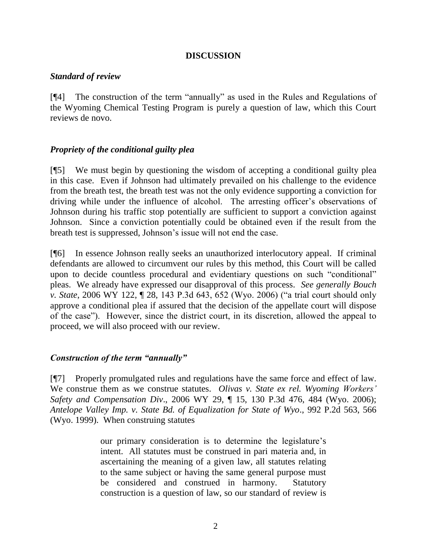### **DISCUSSION**

### *Standard of review*

[¶4] The construction of the term "annually" as used in the Rules and Regulations of the Wyoming Chemical Testing Program is purely a question of law, which this Court reviews de novo.

### *Propriety of the conditional guilty plea*

[¶5] We must begin by questioning the wisdom of accepting a conditional guilty plea in this case. Even if Johnson had ultimately prevailed on his challenge to the evidence from the breath test, the breath test was not the only evidence supporting a conviction for driving while under the influence of alcohol. The arresting officer"s observations of Johnson during his traffic stop potentially are sufficient to support a conviction against Johnson. Since a conviction potentially could be obtained even if the result from the breath test is suppressed, Johnson"s issue will not end the case.

[¶6] In essence Johnson really seeks an unauthorized interlocutory appeal. If criminal defendants are allowed to circumvent our rules by this method, this Court will be called upon to decide countless procedural and evidentiary questions on such "conditional" pleas. We already have expressed our disapproval of this process. *See generally Bouch v. State*, 2006 WY 122, ¶ 28, 143 P.3d 643, 652 (Wyo. 2006) ("a trial court should only approve a conditional plea if assured that the decision of the appellate court will dispose of the case"). However, since the district court, in its discretion, allowed the appeal to proceed, we will also proceed with our review.

### *Construction of the term "annually"*

[¶7] Properly promulgated rules and regulations have the same force and effect of law. We construe them as we construe statutes. *Olivas v. State ex rel. Wyoming Workers' Safety and Compensation Div*., 2006 WY 29, ¶ 15, 130 P.3d 476, 484 (Wyo. 2006); *Antelope Valley Imp. v. State Bd. of Equalization for State of Wyo*., 992 P.2d 563, 566 (Wyo. 1999). When construing statutes

> our primary consideration is to determine the legislature"s intent. All statutes must be construed in pari materia and, in ascertaining the meaning of a given law, all statutes relating to the same subject or having the same general purpose must be considered and construed in harmony. Statutory construction is a question of law, so our standard of review is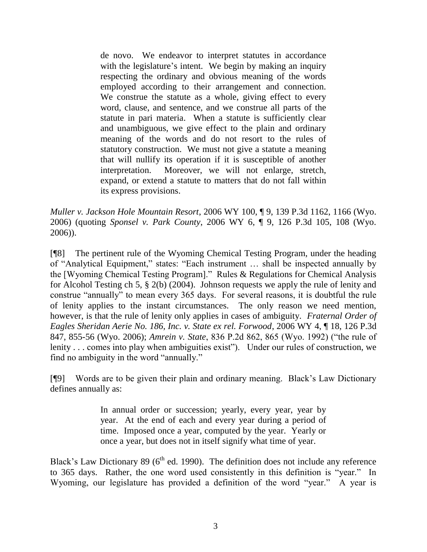de novo. We endeavor to interpret statutes in accordance with the legislature's intent. We begin by making an inquiry respecting the ordinary and obvious meaning of the words employed according to their arrangement and connection. We construe the statute as a whole, giving effect to every word, clause, and sentence, and we construe all parts of the statute in pari materia. When a statute is sufficiently clear and unambiguous, we give effect to the plain and ordinary meaning of the words and do not resort to the rules of statutory construction. We must not give a statute a meaning that will nullify its operation if it is susceptible of another interpretation. Moreover, we will not enlarge, stretch, expand, or extend a statute to matters that do not fall within its express provisions.

*Muller v. Jackson Hole Mountain Resort*, 2006 WY 100, ¶ 9, 139 P.3d 1162, 1166 (Wyo. 2006) (quoting *Sponsel v. Park County*, 2006 WY 6, ¶ 9, 126 P.3d 105, 108 (Wyo. 2006)).

[¶8] The pertinent rule of the Wyoming Chemical Testing Program, under the heading of "Analytical Equipment," states: "Each instrument … shall be inspected annually by the [Wyoming Chemical Testing Program]." Rules & Regulations for Chemical Analysis for Alcohol Testing ch 5, § 2(b) (2004). Johnson requests we apply the rule of lenity and construe "annually" to mean every 365 days. For several reasons, it is doubtful the rule of lenity applies to the instant circumstances. The only reason we need mention, however, is that the rule of lenity only applies in cases of ambiguity. *Fraternal Order of Eagles Sheridan Aerie No. 186, Inc. v. State ex rel. Forwood*, 2006 WY 4, ¶ 18, 126 P.3d 847, 855-56 (Wyo. 2006); *Amrein v. State*, 836 P.2d 862, 865 (Wyo. 1992) ("the rule of lenity . . . comes into play when ambiguities exist"). Under our rules of construction, we find no ambiguity in the word "annually."

[¶9] Words are to be given their plain and ordinary meaning. Black"s Law Dictionary defines annually as:

> In annual order or succession; yearly, every year, year by year. At the end of each and every year during a period of time. Imposed once a year, computed by the year. Yearly or once a year, but does not in itself signify what time of year.

Black's Law Dictionary 89 ( $6<sup>th</sup>$  ed. 1990). The definition does not include any reference to 365 days. Rather, the one word used consistently in this definition is "year." In Wyoming, our legislature has provided a definition of the word "year." A year is